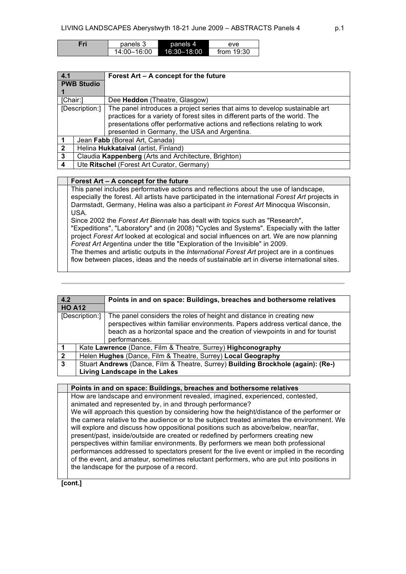| Fri | panels 3    | panels 4    | eve          |
|-----|-------------|-------------|--------------|
|     | 14:00-16:00 | 16:30-18:00 | from $19:30$ |

| 4.1            |                                                      | Forest Art - A concept for the future                                                                                                                                                                                                                                                   |  |
|----------------|------------------------------------------------------|-----------------------------------------------------------------------------------------------------------------------------------------------------------------------------------------------------------------------------------------------------------------------------------------|--|
|                | <b>PWB Studio</b>                                    |                                                                                                                                                                                                                                                                                         |  |
| [Chair:]       |                                                      | Dee Heddon (Theatre, Glasgow)                                                                                                                                                                                                                                                           |  |
|                | [Description:]                                       | The panel introduces a project series that aims to develop sustainable art<br>practices for a variety of forest sites in different parts of the world. The<br>presentations offer performative actions and reflections relating to work<br>presented in Germany, the USA and Argentina. |  |
|                |                                                      | Jean Fabb (Boreal Art, Canada)                                                                                                                                                                                                                                                          |  |
| $\overline{2}$ | Helina Hukkataival (artist, Finland)                 |                                                                                                                                                                                                                                                                                         |  |
| 3              | Claudia Kappenberg (Arts and Architecture, Brighton) |                                                                                                                                                                                                                                                                                         |  |
| 4              | Ute Ritschel (Forest Art Curator, Germany)           |                                                                                                                                                                                                                                                                                         |  |

|  |  |  | $\vert$ Forest Art – A concept for the future |  |  |  |
|--|--|--|-----------------------------------------------|--|--|--|
|--|--|--|-----------------------------------------------|--|--|--|

This panel includes performative actions and reflections about the use of landscape, especially the forest. All artists have participated in the international *Forest Art* projects in Darmstadt, Germany, Helina was also a participant *in Forest Art* Minocqua Wisconsin, USA.

Since 2002 the *Forest Art Biennale* has dealt with topics such as "Research", "Expeditions", "Laboratory" and (in 2008) "Cycles and Systems". Especially with the latter project *Forest Art* looked at ecological and social influences on art. We are now planning *Forest Art* Argentina under the title "Exploration of the Invisible" in 2009. The themes and artistic outputs in the *International Forest Art* project are in a continues

flow between places, ideas and the needs of sustainable art in diverse international sites.

| 4.2            |                                                                                  | Points in and on space: Buildings, breaches and bothersome relatives                                                                                                                                                                                    |  |
|----------------|----------------------------------------------------------------------------------|---------------------------------------------------------------------------------------------------------------------------------------------------------------------------------------------------------------------------------------------------------|--|
| <b>HO A12</b>  |                                                                                  |                                                                                                                                                                                                                                                         |  |
| [Description:] |                                                                                  | The panel considers the roles of height and distance in creating new<br>perspectives within familiar environments. Papers address vertical dance, the<br>beach as a horizontal space and the creation of viewpoints in and for tourist<br>performances. |  |
|                |                                                                                  | Kate Lawrence (Dance, Film & Theatre, Surrey) Highconography                                                                                                                                                                                            |  |
| $\overline{2}$ |                                                                                  | Helen Hughes (Dance, Film & Theatre, Surrey) Local Geography                                                                                                                                                                                            |  |
| $\mathbf{3}$   | Stuart Andrews (Dance, Film & Theatre, Surrey) Building Brockhole (again): (Re-) |                                                                                                                                                                                                                                                         |  |
|                | Living Landscape in the Lakes                                                    |                                                                                                                                                                                                                                                         |  |

**Points in and on space: Buildings, breaches and bothersome relatives**

How are landscape and environment revealed, imagined, experienced, contested, animated and represented by, in and through performance? We will approach this question by considering how the height/distance of the performer or the camera relative to the audience or to the subject treated animates the environment. We will explore and discuss how oppositional positions such as above/below, near/far, present/past, inside/outside are created or redefined by performers creating new perspectives within familiar environments. By performers we mean both professional performances addressed to spectators present for the live event or implied in the recording of the event, and amateur, sometimes reluctant performers, who are put into positions in the landscape for the purpose of a record.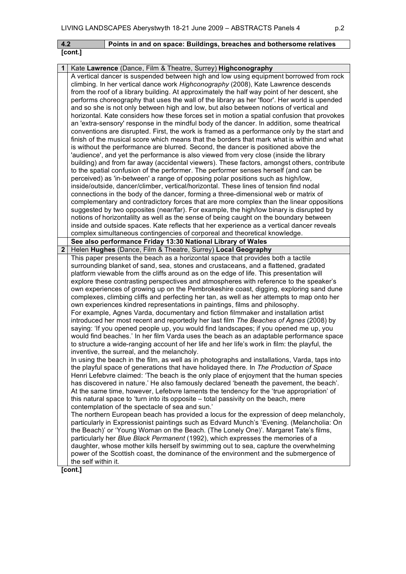| $\vert$ 4.2 | Points in and on space: Buildings, breaches and bothersome relatives |
|-------------|----------------------------------------------------------------------|
| [cont.]     |                                                                      |

| 1            | Kate Lawrence (Dance, Film & Theatre, Surrey) Highconography                                  |
|--------------|-----------------------------------------------------------------------------------------------|
|              | A vertical dancer is suspended between high and low using equipment borrowed from rock        |
|              | climbing. In her vertical dance work Highconography (2008), Kate Lawrence descends            |
|              | from the roof of a library building. At approximately the half way point of her descent, she  |
|              | performs choreography that uses the wall of the library as her 'floor'. Her world is upended  |
|              | and so she is not only between high and low, but also between notions of vertical and         |
|              | horizontal. Kate considers how these forces set in motion a spatial confusion that provokes   |
|              | an 'extra-sensory' response in the mindful body of the dancer. In addition, some theatrical   |
|              | conventions are disrupted. First, the work is framed as a performance only by the start and   |
|              | finish of the musical score which means that the borders that mark what is within and what    |
|              | is without the performance are blurred. Second, the dancer is positioned above the            |
|              |                                                                                               |
|              | 'audience', and yet the performance is also viewed from very close (inside the library        |
|              | building) and from far away (accidental viewers). These factors, amongst others, contribute   |
|              | to the spatial confusion of the performer. The performer senses herself (and can be           |
|              | perceived) as 'in-between' a range of opposing polar positions such as high/low,              |
|              | inside/outside, dancer/climber, vertical/horizontal. These lines of tension find nodal        |
|              | connections in the body of the dancer, forming a three-dimensional web or matrix of           |
|              | complementary and contradictory forces that are more complex than the linear oppositions      |
|              | suggested by two opposites (near/far). For example, the high/low binary is disrupted by       |
|              | notions of horizontalilty as well as the sense of being caught on the boundary between        |
|              | inside and outside spaces. Kate reflects that her experience as a vertical dancer reveals     |
|              | complex simultaneous contingencies of corporeal and theoretical knowledge.                    |
|              | See also performance Friday 13:30 National Library of Wales                                   |
| $\mathbf{2}$ | Helen Hughes (Dance, Film & Theatre, Surrey) Local Geography                                  |
|              | This paper presents the beach as a horizontal space that provides both a tactile              |
|              | surrounding blanket of sand, sea, stones and crustaceans, and a flattened, gradated           |
|              | platform viewable from the cliffs around as on the edge of life. This presentation will       |
|              | explore these contrasting perspectives and atmospheres with reference to the speaker's        |
|              | own experiences of growing up on the Pembrokeshire coast, digging, exploring sand dune        |
|              | complexes, climbing cliffs and perfecting her tan, as well as her attempts to map onto her    |
|              | own experiences kindred representations in paintings, films and philosophy.                   |
|              | For example, Agnes Varda, documentary and fiction filmmaker and installation artist           |
|              | introduced her most recent and reportedly her last film The Beaches of Agnes (2008) by        |
|              | saying: 'If you opened people up, you would find landscapes; if you opened me up, you         |
|              | would find beaches.' In her film Varda uses the beach as an adaptable performance space       |
|              | to structure a wide-ranging account of her life and her life's work in film: the playful, the |
|              | inventive, the surreal, and the melancholy.                                                   |
|              | In using the beach in the film, as well as in photographs and installations, Varda, taps into |
|              | the playful space of generations that have holidayed there. In The Production of Space        |
|              | Henri Lefebvre claimed: 'The beach is the only place of enjoyment that the human species      |
|              | has discovered in nature.' He also famously declared 'beneath the pavement, the beach'.       |
|              | At the same time, however, Lefebvre laments the tendency for the 'true appropriation' of      |
|              | this natural space to 'turn into its opposite – total passivity on the beach, mere            |
|              | contemplation of the spectacle of sea and sun.'                                               |
|              | The northern European beach has provided a locus for the expression of deep melancholy,       |
|              | particularly in Expressionist paintings such as Edvard Munch's 'Evening. (Melancholia: On     |
|              | the Beach)' or 'Young Woman on the Beach. (The Lonely One)'. Margaret Tate's films,           |
|              | particularly her Blue Black Permanent (1992), which expresses the memories of a               |
|              | daughter, whose mother kills herself by swimming out to sea, capture the overwhelming         |
|              | power of the Scottish coast, the dominance of the environment and the submergence of          |
|              | the self within it.                                                                           |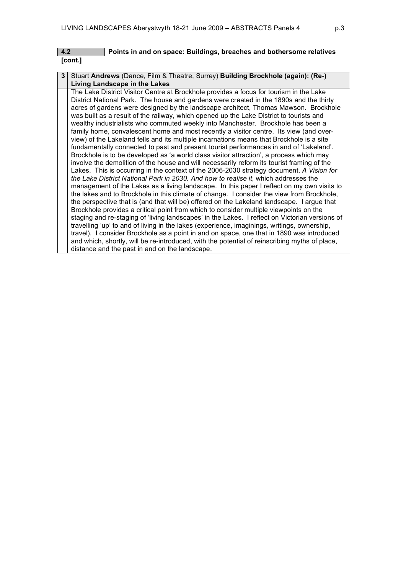| 4.2     | Points in and on space: Buildings, breaches and bothersome relatives               |
|---------|------------------------------------------------------------------------------------|
| [cont.] |                                                                                    |
|         |                                                                                    |
|         | 3 Stuart Andrews (Dance, Film & Theatre, Surrey) Building Brockhole (again): (Re-) |

| Living Landscape in the Lakes                                                                  |
|------------------------------------------------------------------------------------------------|
| The Lake District Visitor Centre at Brockhole provides a focus for tourism in the Lake         |
| District National Park. The house and gardens were created in the 1890s and the thirty         |
| acres of gardens were designed by the landscape architect, Thomas Mawson. Brockhole            |
| was built as a result of the railway, which opened up the Lake District to tourists and        |
| wealthy industrialists who commuted weekly into Manchester. Brockhole has been a               |
| family home, convalescent home and most recently a visitor centre. Its view (and over-         |
| view) of the Lakeland fells and its multiple incarnations means that Brockhole is a site       |
| fundamentally connected to past and present tourist performances in and of 'Lakeland'.         |
| Brockhole is to be developed as 'a world class visitor attraction', a process which may        |
| involve the demolition of the house and will necessarily reform its tourist framing of the     |
| Lakes. This is occurring in the context of the 2006-2030 strategy document, A Vision for       |
| the Lake District National Park in 2030. And how to realise it, which addresses the            |
| management of the Lakes as a living landscape. In this paper I reflect on my own visits to     |
| the lakes and to Brockhole in this climate of change. I consider the view from Brockhole,      |
| the perspective that is (and that will be) offered on the Lakeland landscape. I argue that     |
| Brockhole provides a critical point from which to consider multiple viewpoints on the          |
| staging and re-staging of 'living landscapes' in the Lakes. I reflect on Victorian versions of |
| travelling 'up' to and of living in the lakes (experience, imaginings, writings, ownership,    |
| travel). I consider Brockhole as a point in and on space, one that in 1890 was introduced      |
| and which, shortly, will be re-introduced, with the potential of reinscribing myths of place,  |
| distance and the past in and on the landscape.                                                 |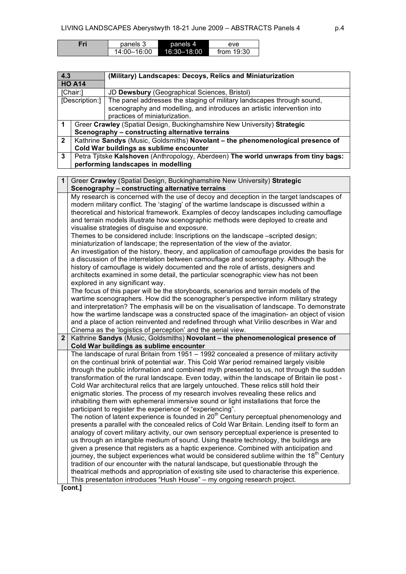| Fri | panels 3    |             | eve          |
|-----|-------------|-------------|--------------|
|     | 14:00–16:00 | 16:30-18:00 | from $19:30$ |

| 4.3<br><b>HO A14</b> |                | (Military) Landscapes: Decoys, Relics and Miniaturization                                           |
|----------------------|----------------|-----------------------------------------------------------------------------------------------------|
|                      |                |                                                                                                     |
|                      | [Chair:]       | JD Dewsbury (Geographical Sciences, Bristol)                                                        |
|                      | [Description:] | The panel addresses the staging of military landscapes through sound,                               |
|                      |                | scenography and modelling, and introduces an artistic intervention into                             |
|                      |                | practices of miniaturization.                                                                       |
| 1                    |                | Greer Crawley (Spatial Design, Buckinghamshire New University) Strategic                            |
|                      |                | Scenography - constructing alternative terrains                                                     |
| $\mathbf{2}$         |                | Kathrine Sandys (Music, Goldsmiths) Novolant - the phenomenological presence of                     |
|                      |                | Cold War buildings as sublime encounter                                                             |
| 3                    |                | Petra Tjitske Kalshoven (Anthropology, Aberdeen) The world unwraps from tiny bags:                  |
|                      |                | performing landscapes in modelling                                                                  |
|                      |                |                                                                                                     |
| $\mathbf 1$          |                | Greer Crawley (Spatial Design, Buckinghamshire New University) Strategic                            |
|                      |                | Scenography - constructing alternative terrains                                                     |
|                      |                | My research is concerned with the use of decoy and deception in the target landscapes of            |
|                      |                | modern military conflict. The 'staging' of the wartime landscape is discussed within a              |
|                      |                | theoretical and historical framework. Examples of decoy landscapes including camouflage             |
|                      |                | and terrain models illustrate how scenographic methods were deployed to create and                  |
|                      |                | visualise strategies of disguise and exposure.                                                      |
|                      |                | Themes to be considered include: Inscriptions on the landscape -scripted design;                    |
|                      |                | miniaturization of landscape; the representation of the view of the aviator.                        |
|                      |                | An investigation of the history, theory, and application of camouflage provides the basis for       |
|                      |                | a discussion of the interrelation between camouflage and scenography. Although the                  |
|                      |                | history of camouflage is widely documented and the role of artists, designers and                   |
|                      |                | architects examined in some detail, the particular scenographic view has not been                   |
|                      |                | explored in any significant way.                                                                    |
|                      |                | The focus of this paper will be the storyboards, scenarios and terrain models of the                |
|                      |                | wartime scenographers. How did the scenographer's perspective inform military strategy              |
|                      |                | and interpretation? The emphasis will be on the visualisation of landscape. To demonstrate          |
|                      |                | how the wartime landscape was a constructed space of the imagination- an object of vision           |
|                      |                | and a place of action reinvented and redefined through what Virilio describes in War and            |
|                      |                |                                                                                                     |
|                      |                | Cinema as the 'logistics of perception' and the aerial view.                                        |
| 2 <sub>1</sub>       |                | Kathrine Sandys (Music, Goldsmiths) Novolant - the phenomenological presence of                     |
|                      |                | Cold War buildings as sublime encounter                                                             |
|                      |                | The landscape of rural Britain from 1951 - 1992 concealed a presence of military activity           |
|                      |                | on the continual brink of potential war. This Cold War period remained largely visible              |
|                      |                | through the public information and combined myth presented to us, not through the sudden            |
|                      |                | transformation of the rural landscape. Even today, within the landscape of Britain lie post -       |
|                      |                | Cold War architectural relics that are largely untouched. These relics still hold their             |
|                      |                | enigmatic stories. The process of my research involves revealing these relics and                   |
|                      |                | inhabiting them with ephemeral immersive sound or light installations that force the                |
|                      |                | participant to register the experience of "experiencing".                                           |
|                      |                | The notion of latent experience is founded in 20 <sup>th</sup> Century perceptual phenomenology and |
|                      |                | presents a parallel with the concealed relics of Cold War Britain. Lending itself to form an        |
|                      |                | analogy of covert military activity, our own sensory perceptual experience is presented to          |
|                      |                | us through an intangible medium of sound. Using theatre technology, the buildings are               |
|                      |                | given a presence that registers as a haptic experience. Combined with anticipation and              |
|                      |                | journey, the subject experiences what would be considered sublime within the $18th$ Century         |
|                      |                | tradition of our encounter with the natural landscape, but questionable through the                 |
|                      |                | theatrical methods and appropriation of existing site used to characterise this experience.         |
|                      |                | This presentation introduces "Hush House" - my ongoing research project.                            |
|                      |                |                                                                                                     |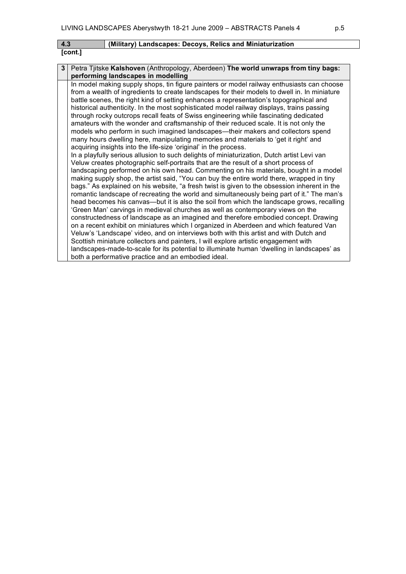| 4.3     | (Military) Landscapes: Decoys, Relics and Miniaturization |
|---------|-----------------------------------------------------------|
| [cont.] |                                                           |

| 3 <sup>1</sup> | Petra Tjitske Kalshoven (Anthropology, Aberdeen) The world unwraps from tiny bags:           |
|----------------|----------------------------------------------------------------------------------------------|
|                | performing landscapes in modelling                                                           |
|                | In model making supply shops, tin figure painters or model railway enthusiasts can choose    |
|                | from a wealth of ingredients to create landscapes for their models to dwell in. In miniature |
|                | battle scenes, the right kind of setting enhances a representation's topographical and       |
|                | historical authenticity. In the most sophisticated model railway displays, trains passing    |
|                | through rocky outcrops recall feats of Swiss engineering while fascinating dedicated         |
|                | amateurs with the wonder and craftsmanship of their reduced scale. It is not only the        |
|                | models who perform in such imagined landscapes—their makers and collectors spend             |
|                | many hours dwelling here, manipulating memories and materials to 'get it right' and          |
|                | acquiring insights into the life-size 'original' in the process.                             |
|                | In a playfully serious allusion to such delights of miniaturization, Dutch artist Levi van   |
|                | Veluw creates photographic self-portraits that are the result of a short process of          |
|                | landscaping performed on his own head. Commenting on his materials, bought in a model        |
|                | making supply shop, the artist said, "You can buy the entire world there, wrapped in tiny    |
|                | bags." As explained on his website, "a fresh twist is given to the obsession inherent in the |
|                | romantic landscape of recreating the world and simultaneously being part of it." The man's   |
|                | head becomes his canvas—but it is also the soil from which the landscape grows, recalling    |
|                | 'Green Man' carvings in medieval churches as well as contemporary views on the               |
|                | constructedness of landscape as an imagined and therefore embodied concept. Drawing          |
|                | on a recent exhibit on miniatures which I organized in Aberdeen and which featured Van       |
|                | Veluw's 'Landscape' video, and on interviews both with this artist and with Dutch and        |
|                | Scottish miniature collectors and painters, I will explore artistic engagement with          |
|                | landscapes-made-to-scale for its potential to illuminate human 'dwelling in landscapes' as   |
|                | both a performative practice and an embodied ideal.                                          |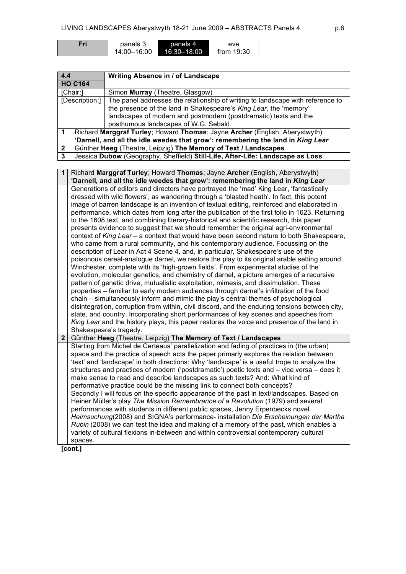| Fri | panels 3    | panels 4    | eve          |
|-----|-------------|-------------|--------------|
|     | 14:00-16:00 | 16:30-18:00 | from $19:30$ |

| 4.4            |                                                                                 | Writing Absence in / of Landscape                                              |
|----------------|---------------------------------------------------------------------------------|--------------------------------------------------------------------------------|
|                | <b>HO C164</b>                                                                  |                                                                                |
|                | [Chair:]                                                                        | Simon Murray (Theatre, Glasgow)                                                |
|                | [Description:]                                                                  | The panel addresses the relationship of writing to landscape with reference to |
|                |                                                                                 | the presence of the land in Shakespeare's King Lear, the 'memory'              |
|                |                                                                                 | landscapes of modern and postmodern (postdramatic) texts and the               |
|                |                                                                                 | posthumous landscapes of W.G. Sebald.                                          |
|                | Richard Marggraf Turley; Howard Thomas; Jayne Archer (English, Aberystwyth)     |                                                                                |
|                | 'Darnell, and all the idle weedes that grow': remembering the land in King Lear |                                                                                |
| $\overline{2}$ | Günther Heeg (Theatre, Leipzig) The Memory of Text / Landscapes                 |                                                                                |
| $\mathbf{3}$   |                                                                                 | Jessica Dubow (Geography, Sheffield) Still-Life, After-Life: Landscape as Loss |

| 1              | Richard Marggraf Turley; Howard Thomas; Jayne Archer (English, Aberystwyth)                                                                                                                                                                                                                                                                                                                                                                                                                                                                                                                                                                                                                                                                                                                                                                                                                                                                                                                                                                                                                                                                                                                                                                                                                                                                                                                                                                                                                                                                                                                                                                                                                                                  |
|----------------|------------------------------------------------------------------------------------------------------------------------------------------------------------------------------------------------------------------------------------------------------------------------------------------------------------------------------------------------------------------------------------------------------------------------------------------------------------------------------------------------------------------------------------------------------------------------------------------------------------------------------------------------------------------------------------------------------------------------------------------------------------------------------------------------------------------------------------------------------------------------------------------------------------------------------------------------------------------------------------------------------------------------------------------------------------------------------------------------------------------------------------------------------------------------------------------------------------------------------------------------------------------------------------------------------------------------------------------------------------------------------------------------------------------------------------------------------------------------------------------------------------------------------------------------------------------------------------------------------------------------------------------------------------------------------------------------------------------------------|
|                | 'Darnell, and all the idle weedes that grow': remembering the land in King Lear                                                                                                                                                                                                                                                                                                                                                                                                                                                                                                                                                                                                                                                                                                                                                                                                                                                                                                                                                                                                                                                                                                                                                                                                                                                                                                                                                                                                                                                                                                                                                                                                                                              |
|                | Generations of editors and directors have portrayed the 'mad' King Lear, 'fantastically<br>dressed with wild flowers', as wandering through a 'blasted heath'. In fact, this potent<br>image of barren landscape is an invention of textual editing, reinforced and elaborated in<br>performance, which dates from long after the publication of the first folio in 1623. Returning<br>to the 1608 text, and combining literary-historical and scientific research, this paper<br>presents evidence to suggest that we should remember the original agri-environmental<br>context of King Lear - a context that would have been second nature to both Shakespeare,<br>who came from a rural community, and his contemporary audience. Focussing on the<br>description of Lear in Act 4 Scene 4, and, in particular, Shakespeare's use of the<br>poisonous cereal-analogue darnel, we restore the play to its original arable setting around<br>Winchester, complete with its 'high-grown fields'. From experimental studies of the<br>evolution, molecular genetics, and chemistry of darnel, a picture emerges of a recursive<br>pattern of genetic drive, mutualistic exploitation, mimesis, and dissimulation. These<br>properties – familiar to early modern audiences through darnel's infiltration of the food<br>chain – simultaneously inform and mimic the play's central themes of psychological<br>disintegration, corruption from within, civil discord, and the enduring tensions between city,<br>state, and country. Incorporating short performances of key scenes and speeches from<br>King Lear and the history plays, this paper restores the voice and presence of the land in<br>Shakespeare's tragedy. |
| 2 <sup>2</sup> | Günther Heeg (Theatre, Leipzig) The Memory of Text / Landscapes                                                                                                                                                                                                                                                                                                                                                                                                                                                                                                                                                                                                                                                                                                                                                                                                                                                                                                                                                                                                                                                                                                                                                                                                                                                                                                                                                                                                                                                                                                                                                                                                                                                              |
|                | Starting from Michel de Certeaus' parallelization and fading of practices in (the urban)<br>space and the practice of speech acts the paper primarly explores the relation between<br>'text' and 'landscape' in both directions: Why 'landscape' is a useful trope to analyze the<br>structures and practices of modern ('postdramatic') poetic texts and - vice versa - does it<br>make sense to read and describe landscapes as such texts? And: What kind of<br>performative practice could be the missing link to connect both concepts?<br>Secondly I will focus on the specific appearance of the past in text/landscapes. Based on<br>Heiner Müller's play The Mission Remembrance of a Revolution (1979) and several<br>performances with students in different public spaces, Jenny Erpenbecks novel<br>Heimsuchung(2008) and SIGNA's performance- installation Die Erscheinungen der Martha<br>Rubin (2008) we can test the idea and making of a memory of the past, which enables a<br>variety of cultural flexions in-between and within controversial contemporary cultural<br>spaces.                                                                                                                                                                                                                                                                                                                                                                                                                                                                                                                                                                                                                          |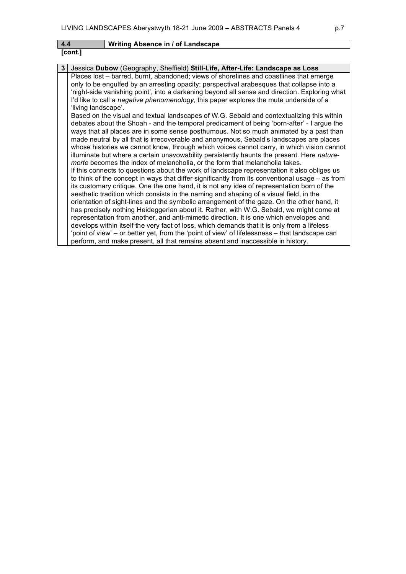| LIVING LANDSCAPES Aberystwyth 18-21 June 2009 - ABSTRACTS Panels 4<br>p.7 |                                                                                                                                                                                                                                                                                                                                                                                                                                                                                                                                                                                                                                                                                                                                                                                                                                                                                                                                                                                                                                                                                                                                                                                                                                                                                                                                                                                                                                                                                                                                                                                                                                                                                                                                                                                                                                                                                                                                                                                                           |  |  |
|---------------------------------------------------------------------------|-----------------------------------------------------------------------------------------------------------------------------------------------------------------------------------------------------------------------------------------------------------------------------------------------------------------------------------------------------------------------------------------------------------------------------------------------------------------------------------------------------------------------------------------------------------------------------------------------------------------------------------------------------------------------------------------------------------------------------------------------------------------------------------------------------------------------------------------------------------------------------------------------------------------------------------------------------------------------------------------------------------------------------------------------------------------------------------------------------------------------------------------------------------------------------------------------------------------------------------------------------------------------------------------------------------------------------------------------------------------------------------------------------------------------------------------------------------------------------------------------------------------------------------------------------------------------------------------------------------------------------------------------------------------------------------------------------------------------------------------------------------------------------------------------------------------------------------------------------------------------------------------------------------------------------------------------------------------------------------------------------------|--|--|
| 4.4                                                                       | <b>Writing Absence in / of Landscape</b>                                                                                                                                                                                                                                                                                                                                                                                                                                                                                                                                                                                                                                                                                                                                                                                                                                                                                                                                                                                                                                                                                                                                                                                                                                                                                                                                                                                                                                                                                                                                                                                                                                                                                                                                                                                                                                                                                                                                                                  |  |  |
| [cont.]                                                                   |                                                                                                                                                                                                                                                                                                                                                                                                                                                                                                                                                                                                                                                                                                                                                                                                                                                                                                                                                                                                                                                                                                                                                                                                                                                                                                                                                                                                                                                                                                                                                                                                                                                                                                                                                                                                                                                                                                                                                                                                           |  |  |
| 3                                                                         | Jessica Dubow (Geography, Sheffield) Still-Life, After-Life: Landscape as Loss                                                                                                                                                                                                                                                                                                                                                                                                                                                                                                                                                                                                                                                                                                                                                                                                                                                                                                                                                                                                                                                                                                                                                                                                                                                                                                                                                                                                                                                                                                                                                                                                                                                                                                                                                                                                                                                                                                                            |  |  |
| 'living landscape'.                                                       | Places lost - barred, burnt, abandoned; views of shorelines and coastlines that emerge<br>only to be engulfed by an arresting opacity; perspectival arabesques that collapse into a<br>'night-side vanishing point', into a darkening beyond all sense and direction. Exploring what<br>I'd like to call a negative phenomenology, this paper explores the mute underside of a<br>Based on the visual and textual landscapes of W.G. Sebald and contextualizing this within<br>debates about the Shoah - and the temporal predicament of being 'born-after' - I argue the<br>ways that all places are in some sense posthumous. Not so much animated by a past than<br>made neutral by all that is irrecoverable and anonymous, Sebald's landscapes are places<br>whose histories we cannot know, through which voices cannot carry, in which vision cannot<br>illuminate but where a certain unavowability persistently haunts the present. Here nature-<br>morte becomes the index of melancholia, or the form that melancholia takes.<br>If this connects to questions about the work of landscape representation it also obliges us<br>to think of the concept in ways that differ significantly from its conventional usage – as from<br>its customary critique. One the one hand, it is not any idea of representation born of the<br>aesthetic tradition which consists in the naming and shaping of a visual field, in the<br>orientation of sight-lines and the symbolic arrangement of the gaze. On the other hand, it<br>has precisely nothing Heideggerian about it. Rather, with W.G. Sebald, we might come at<br>representation from another, and anti-mimetic direction. It is one which envelopes and<br>develops within itself the very fact of loss, which demands that it is only from a lifeless<br>'point of view' – or better yet, from the 'point of view' of lifelessness – that landscape can<br>perform, and make present, all that remains absent and inaccessible in history. |  |  |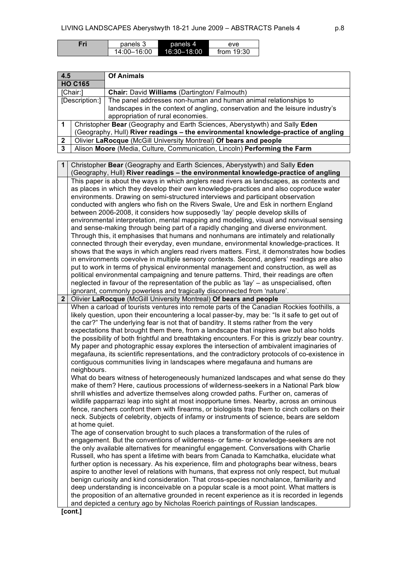| =ri | panels 3    | panels 4    | eve          |
|-----|-------------|-------------|--------------|
|     | 14:00-16:00 | 16:30-18:00 | from $19:30$ |

| 4.5          |                                                                                    | <b>Of Animals</b>                                                             |
|--------------|------------------------------------------------------------------------------------|-------------------------------------------------------------------------------|
|              | <b>HO C165</b>                                                                     |                                                                               |
|              | [Chair:]                                                                           | Chair: David Williams (Dartington/Falmouth)                                   |
|              | [Description:]                                                                     | The panel addresses non-human and human animal relationships to               |
|              |                                                                                    | landscapes in the context of angling, conservation and the leisure industry's |
|              |                                                                                    | appropriation of rural economies.                                             |
|              | Christopher Bear (Geography and Earth Sciences, Aberystywth) and Sally Eden        |                                                                               |
|              | (Geography, Hull) River readings – the environmental knowledge-practice of angling |                                                                               |
| $\mathbf{2}$ | Olivier LaRocque (McGill University Montreal) Of bears and people                  |                                                                               |
| 3            |                                                                                    | Alison Moore (Media, Culture, Communication, Lincoln) Performing the Farm     |

**1** Christopher **Bear** (Geography and Earth Sciences, Aberystywth) and Sally **Eden** (Geography, Hull) **River readings – the environmental knowledge-practice of angling** This paper is about the ways in which anglers read rivers as landscapes, as contexts and as places in which they develop their own knowledge-practices and also coproduce water environments. Drawing on semi-structured interviews and participant observation conducted with anglers who fish on the Rivers Swale, Ure and Esk in northern England between 2006-2008, it considers how supposedly 'lay' people develop skills of environmental interpretation, mental mapping and modelling, visual and nonvisual sensing and sense-making through being part of a rapidly changing and diverse environment. Through this, it emphasises that humans and nonhumans are intimately and relationally connected through their everyday, even mundane, environmental knowledge-practices. It shows that the ways in which anglers read rivers matters. First, it demonstrates how bodies in environments coevolve in multiple sensory contexts. Second, anglers' readings are also put to work in terms of physical environmental management and construction, as well as political environmental campaigning and tenure patterns. Third, their readings are often neglected in favour of the representation of the public as 'lay' – as unspecialised, often ignorant, commonly powerless and tragically disconnected from 'nature'. **2** Olivier **LaRocque** (McGill University Montreal) **Of bears and people** When a carload of tourists ventures into remote parts of the Canadian Rockies foothills, a likely question, upon their encountering a local passer-by, may be: "Is it safe to get out of the car?" The underlying fear is not that of banditry. It stems rather from the very expectations that brought them there, from a landscape that inspires awe but also holds the possibility of both frightful and breathtaking encounters. For this is grizzly bear country. My paper and photographic essay explores the intersection of ambivalent imaginaries of megafauna, its scientific representations, and the contradictory protocols of co-existence in contiguous communities living in landscapes where megafauna and humans are neighbours. What do bears witness of heterogeneously humanized landscapes and what sense do they make of them? Here, cautious processions of wilderness-seekers in a National Park blow shrill whistles and advertize themselves along crowded paths. Further on, cameras of wildlife papparrazi leap into sight at most inopportune times. Nearby, across an ominous fence, ranchers confront them with firearms, or biologists trap them to cinch collars on their neck. Subjects of celebrity, objects of infamy or instruments of science, bears are seldom at home quiet. The age of conservation brought to such places a transformation of the rules of engagement. But the conventions of wilderness- or fame- or knowledge-seekers are not the only available alternatives for meaningful engagement. Conversations with Charlie Russell, who has spent a lifetime with bears from Canada to Kamchatka, elucidate what further option is necessary. As his experience, film and photographs bear witness, bears aspire to another level of relations with humans, that express not only respect, but mutual benign curiosity and kind consideration. That cross-species nonchalance, familiarity and

deep understanding is inconceivable on a popular scale is a moot point. What matters is the proposition of an alternative grounded in recent experience as it is recorded in legends and depicted a century ago by Nicholas Roerich paintings of Russian landscapes.